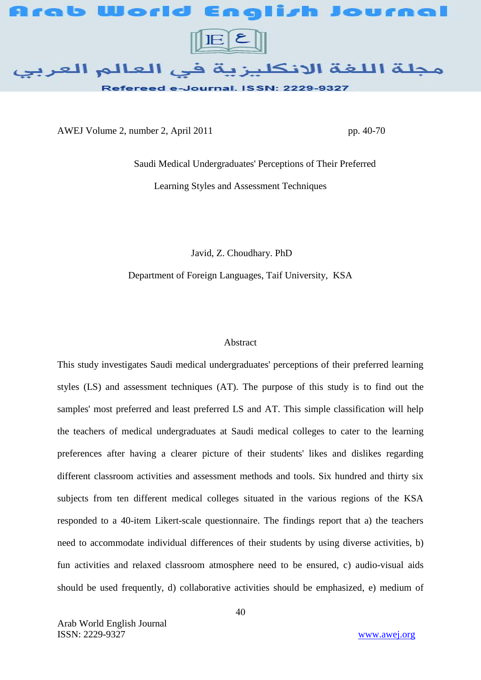

AWEJ Volume 2, number 2, April 2011 pp. 40-70

 Saudi Medical Undergraduates' Perceptions of Their Preferred Learning Styles and Assessment Techniques

Javid, Z. Choudhary. PhD

Department of Foreign Languages, Taif University, KSA

## Abstract

This study investigates Saudi medical undergraduates' perceptions of their preferred learning styles (LS) and assessment techniques (AT). The purpose of this study is to find out the samples' most preferred and least preferred LS and AT. This simple classification will help the teachers of medical undergraduates at Saudi medical colleges to cater to the learning preferences after having a clearer picture of their students' likes and dislikes regarding different classroom activities and assessment methods and tools. Six hundred and thirty six subjects from ten different medical colleges situated in the various regions of the KSA responded to a 40-item Likert-scale questionnaire. The findings report that a) the teachers need to accommodate individual differences of their students by using diverse activities, b) fun activities and relaxed classroom atmosphere need to be ensured, c) audio-visual aids should be used frequently, d) collaborative activities should be emphasized, e) medium of